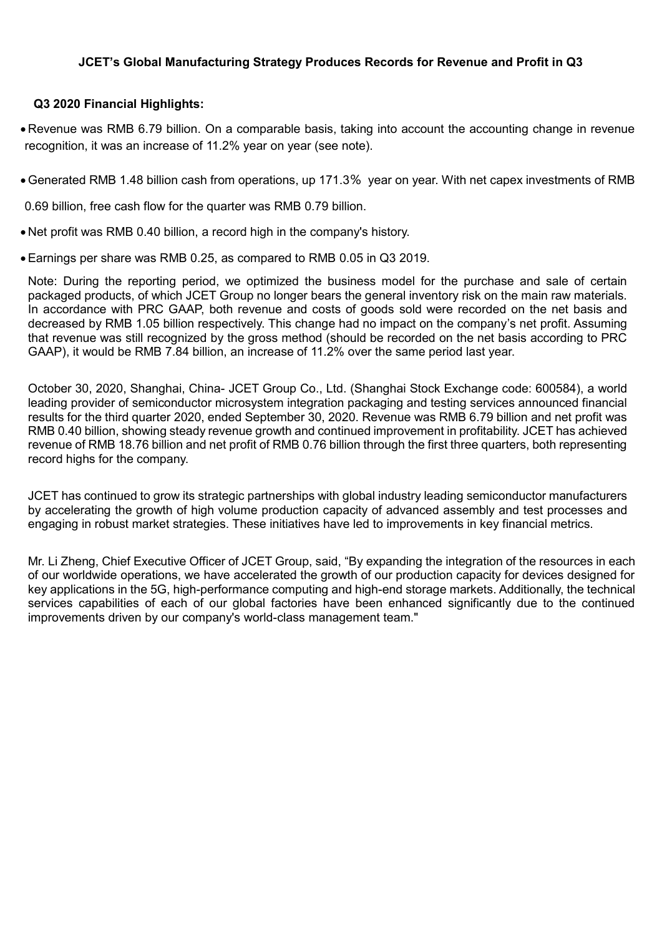# **JCET's Global Manufacturing Strategy Produces Records for Revenue and Profit in Q3**

# **Q3 2020 Financial Highlights:**

 Revenue was RMB 6.79 billion. On a comparable basis, taking into account the accounting change in revenue recognition, it was an increase of 11.2% year on year (see note).

Generated RMB 1.48 billion cash from operations, up 171.3% year on year. With net capex investments of RMB

0.69 billion, free cash flow for the quarter was RMB 0.79 billion.

- Net profit was RMB 0.40 billion, a record high in the company's history.
- Earnings per share was RMB 0.25, as compared to RMB 0.05 in Q3 2019.

Note: During the reporting period, we optimized the business model for the purchase and sale of certain packaged products, of which JCET Group no longer bears the general inventory risk on the main raw materials. In accordance with PRC GAAP, both revenue and costs of goods sold were recorded on the net basis and decreased by RMB 1.05 billion respectively. This change had no impact on the company's net profit. Assuming that revenue was still recognized by the gross method (should be recorded on the net basis according to PRC GAAP), it would be RMB 7.84 billion, an increase of 11.2% over the same period last year.

October 30, 2020, Shanghai, China- JCET Group Co., Ltd. (Shanghai Stock Exchange code: 600584), a world leading provider of semiconductor microsystem integration packaging and testing services announced financial results for the third quarter 2020, ended September 30, 2020. Revenue was RMB 6.79 billion and net profit was RMB 0.40 billion, showing steady revenue growth and continued improvement in profitability. JCET has achieved revenue of RMB 18.76 billion and net profit of RMB 0.76 billion through the first three quarters, both representing record highs for the company.

JCET has continued to grow its strategic partnerships with global industry leading semiconductor manufacturers by accelerating the growth of high volume production capacity of advanced assembly and test processes and engaging in robust market strategies. These initiatives have led to improvements in key financial metrics.

Mr. Li Zheng, Chief Executive Officer of JCET Group, said, "By expanding the integration of the resources in each of our worldwide operations, we have accelerated the growth of our production capacity for devices designed for key applications in the 5G, high-performance computing and high-end storage markets. Additionally, the technical services capabilities of each of our global factories have been enhanced significantly due to the continued improvements driven by our company's world-class management team."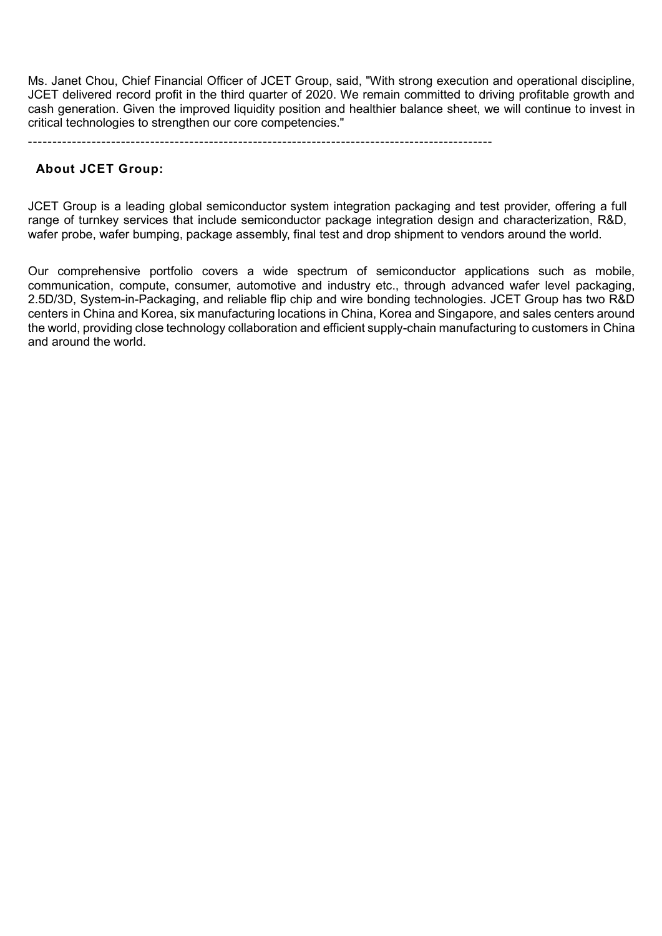Ms. Janet Chou, Chief Financial Officer of JCET Group, said, "With strong execution and operational discipline, JCET delivered record profit in the third quarter of 2020. We remain committed to driving profitable growth and cash generation. Given the improved liquidity position and healthier balance sheet, we will continue to invest in critical technologies to strengthen our core competencies."

-----------------------------------------------------------------------------------------------

## **About JCET Group:**

JCET Group is a leading global semiconductor system integration packaging and test provider, offering a full range of turnkey services that include semiconductor package integration design and characterization, R&D, wafer probe, wafer bumping, package assembly, final test and drop shipment to vendors around the world.

Our comprehensive portfolio covers a wide spectrum of semiconductor applications such as mobile, communication, compute, consumer, automotive and industry etc., through advanced wafer level packaging, 2.5D/3D, System-in-Packaging, and reliable flip chip and wire bonding technologies. JCET Group has two R&D centers in China and Korea, six manufacturing locations in China, Korea and Singapore, and sales centers around the world, providing close technology collaboration and efficient supply-chain manufacturing to customers in China and around the world.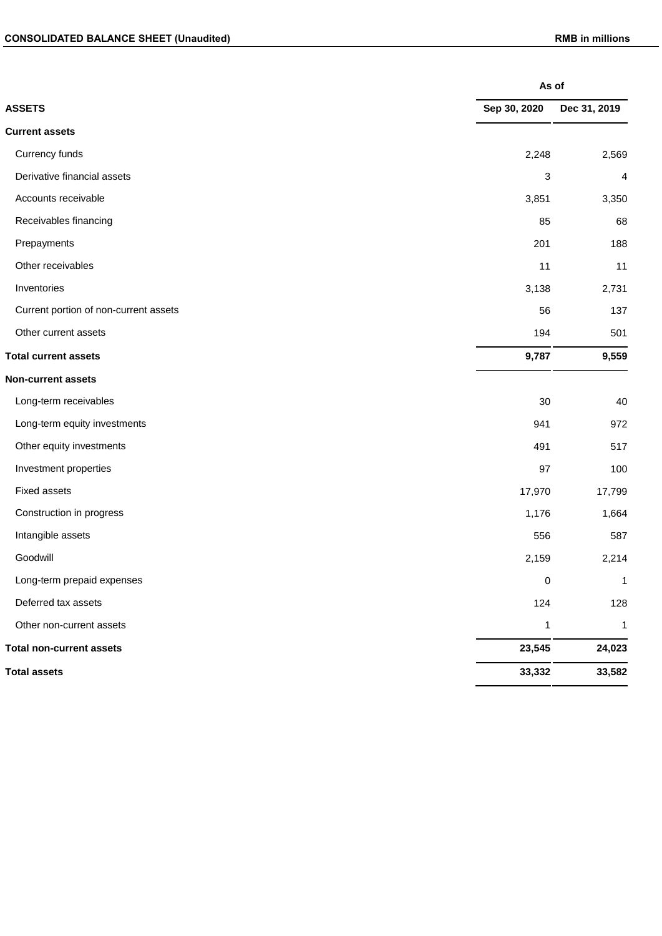|                                       |              | As of        |  |  |
|---------------------------------------|--------------|--------------|--|--|
| <b>ASSETS</b>                         | Sep 30, 2020 | Dec 31, 2019 |  |  |
| <b>Current assets</b>                 |              |              |  |  |
| Currency funds                        | 2,248        | 2,569        |  |  |
| Derivative financial assets           | 3            | 4            |  |  |
| Accounts receivable                   | 3,851        | 3,350        |  |  |
| Receivables financing                 | 85           | 68           |  |  |
| Prepayments                           | 201          | 188          |  |  |
| Other receivables                     | 11           | 11           |  |  |
| Inventories                           | 3,138        | 2,731        |  |  |
| Current portion of non-current assets | 56           | 137          |  |  |
| Other current assets                  | 194          | 501          |  |  |
| <b>Total current assets</b>           | 9,787        | 9,559        |  |  |
| <b>Non-current assets</b>             |              |              |  |  |
| Long-term receivables                 | 30           | 40           |  |  |
| Long-term equity investments          | 941          | 972          |  |  |
| Other equity investments              | 491          | 517          |  |  |
| Investment properties                 | 97           | 100          |  |  |
| Fixed assets                          | 17,970       | 17,799       |  |  |
| Construction in progress              | 1,176        | 1,664        |  |  |
| Intangible assets                     | 556          | 587          |  |  |
| Goodwill                              | 2,159        | 2,214        |  |  |
| Long-term prepaid expenses            | $\pmb{0}$    | $\mathbf{1}$ |  |  |
| Deferred tax assets                   | 124          | 128          |  |  |
| Other non-current assets              | $\mathbf{1}$ | $\mathbf{1}$ |  |  |
| <b>Total non-current assets</b>       | 23,545       | 24,023       |  |  |
| <b>Total assets</b>                   | 33,332       | 33,582       |  |  |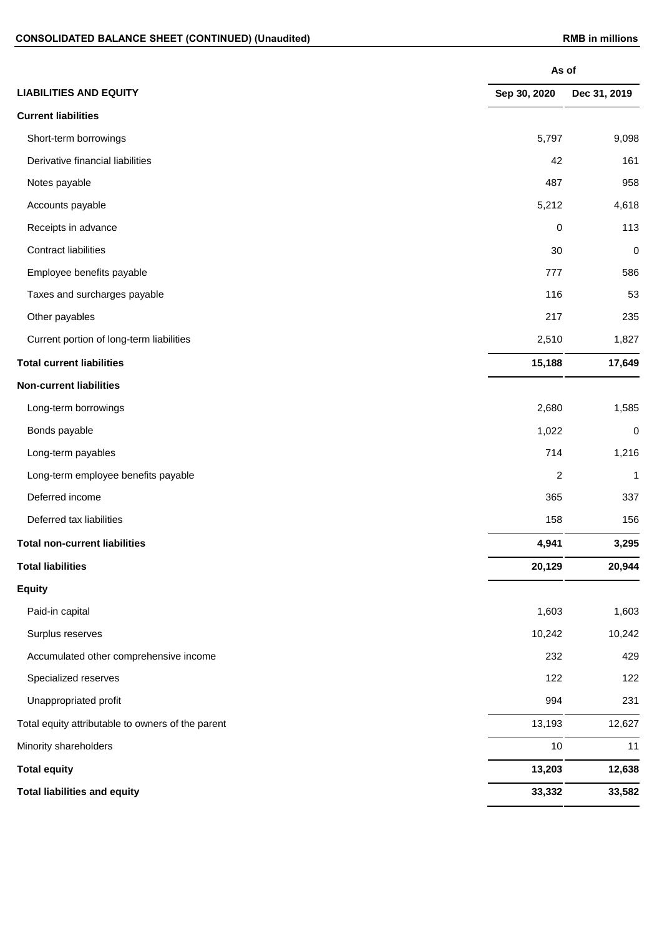|                                                   | As of        |              |
|---------------------------------------------------|--------------|--------------|
| <b>LIABILITIES AND EQUITY</b>                     | Sep 30, 2020 | Dec 31, 2019 |
| <b>Current liabilities</b>                        |              |              |
| Short-term borrowings                             | 5,797        | 9,098        |
| Derivative financial liabilities                  | 42           | 161          |
| Notes payable                                     | 487          | 958          |
| Accounts payable                                  | 5,212        | 4,618        |
| Receipts in advance                               | 0            | 113          |
| <b>Contract liabilities</b>                       | 30           | $\pmb{0}$    |
| Employee benefits payable                         | 777          | 586          |
| Taxes and surcharges payable                      | 116          | 53           |
| Other payables                                    | 217          | 235          |
| Current portion of long-term liabilities          | 2,510        | 1,827        |
| <b>Total current liabilities</b>                  | 15,188       | 17,649       |
| <b>Non-current liabilities</b>                    |              |              |
| Long-term borrowings                              | 2,680        | 1,585        |
| Bonds payable                                     | 1,022        | 0            |
| Long-term payables                                | 714          | 1,216        |
| Long-term employee benefits payable               | 2            | 1            |
| Deferred income                                   | 365          | 337          |
| Deferred tax liabilities                          | 158          | 156          |
| <b>Total non-current liabilities</b>              | 4,941        | 3,295        |
| <b>Total liabilities</b>                          | 20,129       | 20,944       |
| <b>Equity</b>                                     |              |              |
| Paid-in capital                                   | 1,603        | 1,603        |
| Surplus reserves                                  | 10,242       | 10,242       |
| Accumulated other comprehensive income            | 232          | 429          |
| Specialized reserves                              | 122          | 122          |
| Unappropriated profit                             | 994          | 231          |
| Total equity attributable to owners of the parent | 13,193       | 12,627       |
| Minority shareholders                             | 10           | 11           |
| <b>Total equity</b>                               | 13,203       | 12,638       |
| <b>Total liabilities and equity</b>               | 33,332       | 33,582       |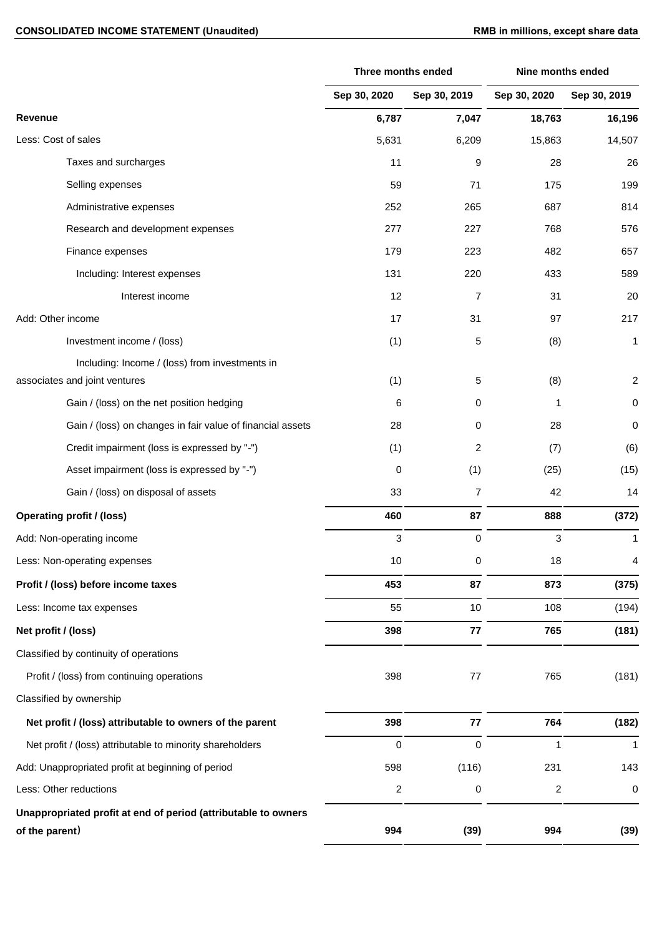## CONSOLIDATED INCOME STATEMENT (Unaudited) **RMB** in millions, except share data

|                                                                                  | Three months ended      |                | Nine months ended       |                  |
|----------------------------------------------------------------------------------|-------------------------|----------------|-------------------------|------------------|
|                                                                                  | Sep 30, 2020            | Sep 30, 2019   | Sep 30, 2020            | Sep 30, 2019     |
| Revenue                                                                          | 6,787                   | 7,047          | 18,763                  | 16,196           |
| Less: Cost of sales                                                              | 5,631                   | 6,209          | 15,863                  | 14,507           |
| Taxes and surcharges                                                             | 11                      | 9              | 28                      | 26               |
| Selling expenses                                                                 | 59                      | 71             | 175                     | 199              |
| Administrative expenses                                                          | 252                     | 265            | 687                     | 814              |
| Research and development expenses                                                | 277                     | 227            | 768                     | 576              |
| Finance expenses                                                                 | 179                     | 223            | 482                     | 657              |
| Including: Interest expenses                                                     | 131                     | 220            | 433                     | 589              |
| Interest income                                                                  | 12                      | $\overline{7}$ | 31                      | 20               |
| Add: Other income                                                                | 17                      | 31             | 97                      | 217              |
| Investment income / (loss)                                                       | (1)                     | 5              | (8)                     | 1                |
| Including: Income / (loss) from investments in                                   |                         |                |                         |                  |
| associates and joint ventures                                                    | (1)                     | 5              | (8)                     | $\boldsymbol{2}$ |
| Gain / (loss) on the net position hedging                                        | 6                       | 0              | 1                       | $\,0\,$          |
| Gain / (loss) on changes in fair value of financial assets                       | 28                      | 0              | 28                      | $\boldsymbol{0}$ |
| Credit impairment (loss is expressed by "-")                                     | (1)                     | 2              | (7)                     | (6)              |
| Asset impairment (loss is expressed by "-")                                      | 0                       | (1)            | (25)                    | (15)             |
| Gain / (loss) on disposal of assets                                              | 33                      | $\overline{7}$ | 42                      | 14               |
| <b>Operating profit / (loss)</b>                                                 | 460                     | 87             | 888                     | (372)            |
| Add: Non-operating income                                                        | 3                       | 0              | 3                       | 1                |
| Less: Non-operating expenses                                                     | 10                      | 0              | 18                      | 4                |
| Profit / (loss) before income taxes                                              | 453                     | 87             | 873                     | (375)            |
| Less: Income tax expenses                                                        | 55                      | 10             | 108                     | (194)            |
| Net profit / (loss)                                                              | 398                     | 77             | 765                     | (181)            |
| Classified by continuity of operations                                           |                         |                |                         |                  |
| Profit / (loss) from continuing operations                                       | 398                     | 77             | 765                     | (181)            |
| Classified by ownership                                                          |                         |                |                         |                  |
| Net profit / (loss) attributable to owners of the parent                         | 398                     | 77             | 764                     | (182)            |
| Net profit / (loss) attributable to minority shareholders                        | 0                       | 0              | 1                       | 1                |
| Add: Unappropriated profit at beginning of period                                | 598                     | (116)          | 231                     | 143              |
| Less: Other reductions                                                           | $\overline{\mathbf{c}}$ | 0              | $\overline{\mathbf{c}}$ | $\pmb{0}$        |
| Unappropriated profit at end of period (attributable to owners<br>of the parent) | 994                     | (39)           | 994                     | (39)             |
|                                                                                  |                         |                |                         |                  |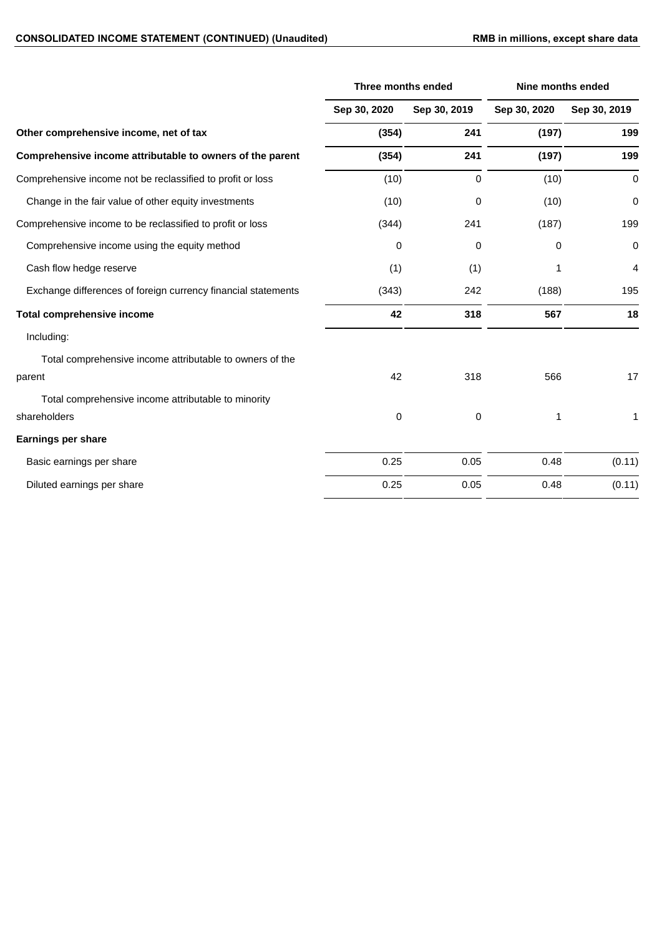|                                                               | Three months ended |              | <b>Nine months ended</b> |                |
|---------------------------------------------------------------|--------------------|--------------|--------------------------|----------------|
|                                                               | Sep 30, 2020       | Sep 30, 2019 | Sep 30, 2020             | Sep 30, 2019   |
| Other comprehensive income, net of tax                        | (354)              | 241          | (197)                    | 199            |
| Comprehensive income attributable to owners of the parent     | (354)              | 241          | (197)                    | 199            |
| Comprehensive income not be reclassified to profit or loss    | (10)               | $\mathbf 0$  | (10)                     | $\mathbf 0$    |
| Change in the fair value of other equity investments          | (10)               | 0            | (10)                     | 0              |
| Comprehensive income to be reclassified to profit or loss     | (344)              | 241          | (187)                    | 199            |
| Comprehensive income using the equity method                  | 0                  | 0            | 0                        | $\pmb{0}$      |
| Cash flow hedge reserve                                       | (1)                | (1)          | 1                        | $\overline{4}$ |
| Exchange differences of foreign currency financial statements | (343)              | 242          | (188)                    | 195            |
| <b>Total comprehensive income</b>                             | 42                 | 318          | 567                      | 18             |
| Including:                                                    |                    |              |                          |                |
| Total comprehensive income attributable to owners of the      |                    |              |                          |                |
| parent                                                        | 42                 | 318          | 566                      | 17             |
| Total comprehensive income attributable to minority           |                    |              |                          |                |
| shareholders                                                  | 0                  | 0            | 1                        | 1              |
| <b>Earnings per share</b>                                     |                    |              |                          |                |
| Basic earnings per share                                      | 0.25               | 0.05         | 0.48                     | (0.11)         |
| Diluted earnings per share                                    | 0.25               | 0.05         | 0.48                     | (0.11)         |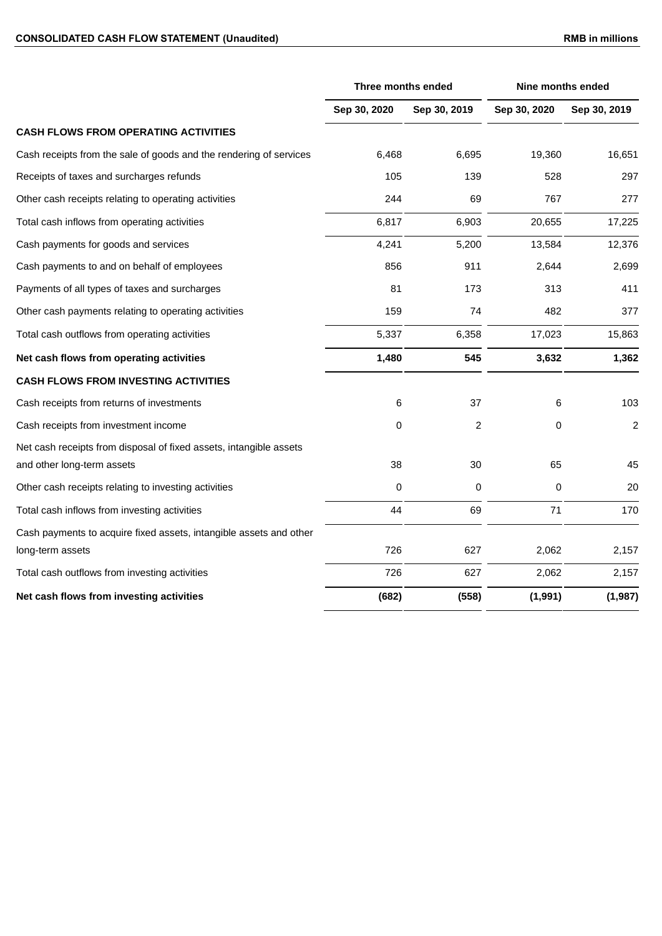## CONSOLIDATED CASH FLOW STATEMENT (Unaudited) **RMB** in millions

|                                                                    | Three months ended |                | <b>Nine months ended</b> |                |
|--------------------------------------------------------------------|--------------------|----------------|--------------------------|----------------|
|                                                                    | Sep 30, 2020       | Sep 30, 2019   | Sep 30, 2020             | Sep 30, 2019   |
| <b>CASH FLOWS FROM OPERATING ACTIVITIES</b>                        |                    |                |                          |                |
| Cash receipts from the sale of goods and the rendering of services | 6,468              | 6,695          | 19.360                   | 16,651         |
| Receipts of taxes and surcharges refunds                           | 105                | 139            | 528                      | 297            |
| Other cash receipts relating to operating activities               | 244                | 69             | 767                      | 277            |
| Total cash inflows from operating activities                       | 6,817              | 6,903          | 20,655                   | 17,225         |
| Cash payments for goods and services                               | 4,241              | 5,200          | 13,584                   | 12,376         |
| Cash payments to and on behalf of employees                        | 856                | 911            | 2,644                    | 2,699          |
| Payments of all types of taxes and surcharges                      | 81                 | 173            | 313                      | 411            |
| Other cash payments relating to operating activities               | 159                | 74             | 482                      | 377            |
| Total cash outflows from operating activities                      | 5,337              | 6,358          | 17,023                   | 15,863         |
| Net cash flows from operating activities                           | 1,480              | 545            | 3,632                    | 1,362          |
| <b>CASH FLOWS FROM INVESTING ACTIVITIES</b>                        |                    |                |                          |                |
| Cash receipts from returns of investments                          | 6                  | 37             | 6                        | 103            |
| Cash receipts from investment income                               | 0                  | $\overline{c}$ | 0                        | $\overline{c}$ |
| Net cash receipts from disposal of fixed assets, intangible assets |                    |                |                          |                |
| and other long-term assets                                         | 38                 | 30             | 65                       | 45             |
| Other cash receipts relating to investing activities               | 0                  | 0              | 0                        | 20             |
| Total cash inflows from investing activities                       | 44                 | 69             | 71                       | 170            |
| Cash payments to acquire fixed assets, intangible assets and other |                    |                |                          |                |
| long-term assets                                                   | 726                | 627            | 2,062                    | 2,157          |
| Total cash outflows from investing activities                      | 726                | 627            | 2,062                    | 2,157          |
| Net cash flows from investing activities                           | (682)              | (558)          | (1,991)                  | (1,987)        |